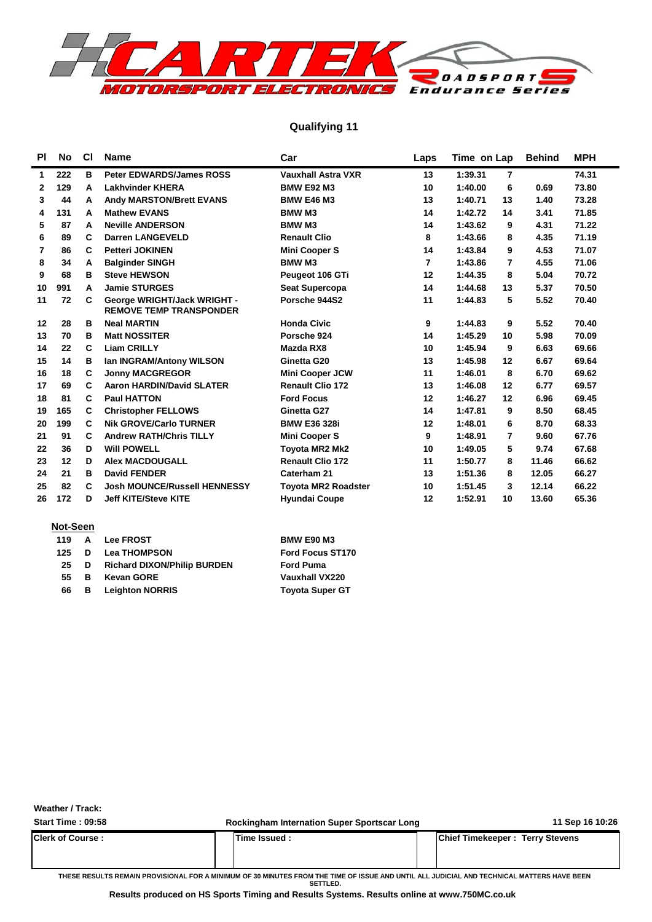

### **Qualifying 11**

| <b>PI</b>    | <b>No</b> | C1 | <b>Name</b>                                                   | Car                        | Laps           | Time on Lap |                | <b>Behind</b> | <b>MPH</b> |
|--------------|-----------|----|---------------------------------------------------------------|----------------------------|----------------|-------------|----------------|---------------|------------|
| 1            | 222       | в  | <b>Peter EDWARDS/James ROSS</b>                               | <b>Vauxhall Astra VXR</b>  | 13             | 1:39.31     | $\overline{7}$ |               | 74.31      |
| $\mathbf{2}$ | 129       | A  | <b>Lakhvinder KHERA</b>                                       | <b>BMW E92 M3</b>          | 10             | 1:40.00     | 6              | 0.69          | 73.80      |
| 3            | 44        | A  | <b>Andy MARSTON/Brett EVANS</b>                               | <b>BMW E46 M3</b>          | 13             | 1:40.71     | 13             | 1.40          | 73.28      |
| 4            | 131       | A  | <b>Mathew EVANS</b>                                           | <b>BMW M3</b>              | 14             | 1:42.72     | 14             | 3.41          | 71.85      |
| 5            | 87        | A  | <b>Neville ANDERSON</b>                                       | <b>BMW M3</b>              | 14             | 1:43.62     | 9              | 4.31          | 71.22      |
| 6            | 89        | C  | <b>Darren LANGEVELD</b>                                       | <b>Renault Clio</b>        | 8              | 1:43.66     | 8              | 4.35          | 71.19      |
| 7            | 86        | C  | <b>Petteri JOKINEN</b>                                        | <b>Mini Cooper S</b>       | 14             | 1:43.84     | 9              | 4.53          | 71.07      |
| 8            | 34        | A  | <b>Balginder SINGH</b>                                        | <b>BMW M3</b>              | $\overline{7}$ | 1:43.86     | 7              | 4.55          | 71.06      |
| 9            | 68        | в  | <b>Steve HEWSON</b>                                           | Peugeot 106 GTi            | 12             | 1:44.35     | 8              | 5.04          | 70.72      |
| 10           | 991       | A  | <b>Jamie STURGES</b>                                          | <b>Seat Supercopa</b>      | 14             | 1:44.68     | 13             | 5.37          | 70.50      |
| 11           | 72        | C  | George WRIGHT/Jack WRIGHT -<br><b>REMOVE TEMP TRANSPONDER</b> | Porsche 944S2              | 11             | 1:44.83     | 5              | 5.52          | 70.40      |
| 12           | 28        | в  | <b>Neal MARTIN</b>                                            | <b>Honda Civic</b>         | 9              | 1:44.83     | 9              | 5.52          | 70.40      |
| 13           | 70        | в  | <b>Matt NOSSITER</b>                                          | Porsche 924                | 14             | 1:45.29     | 10             | 5.98          | 70.09      |
| 14           | 22        | C  | <b>Liam CRILLY</b>                                            | Mazda RX8                  | 10             | 1:45.94     | 9              | 6.63          | 69.66      |
| 15           | 14        | в  | Ian INGRAM/Antony WILSON                                      | Ginetta G20                | 13             | 1:45.98     | 12             | 6.67          | 69.64      |
| 16           | 18        | C  | <b>Jonny MACGREGOR</b>                                        | <b>Mini Cooper JCW</b>     | 11             | 1:46.01     | 8              | 6.70          | 69.62      |
| 17           | 69        | C  | <b>Aaron HARDIN/David SLATER</b>                              | <b>Renault Clio 172</b>    | 13             | 1:46.08     | 12             | 6.77          | 69.57      |
| 18           | 81        | C  | <b>Paul HATTON</b>                                            | <b>Ford Focus</b>          | 12             | 1:46.27     | 12             | 6.96          | 69.45      |
| 19           | 165       | C  | <b>Christopher FELLOWS</b>                                    | Ginetta G27                | 14             | 1:47.81     | 9              | 8.50          | 68.45      |
| 20           | 199       | C  | <b>Nik GROVE/Carlo TURNER</b>                                 | <b>BMW E36 328i</b>        | 12             | 1:48.01     | 6              | 8.70          | 68.33      |
| 21           | 91        | C  | <b>Andrew RATH/Chris TILLY</b>                                | <b>Mini Cooper S</b>       | 9              | 1:48.91     | 7              | 9.60          | 67.76      |
| 22           | 36        | D  | <b>Will POWELL</b>                                            | <b>Toyota MR2 Mk2</b>      | 10             | 1:49.05     | 5              | 9.74          | 67.68      |
| 23           | 12        | D  | <b>Alex MACDOUGALL</b>                                        | <b>Renault Clio 172</b>    | 11             | 1:50.77     | 8              | 11.46         | 66.62      |
| 24           | 21        | в  | <b>David FENDER</b>                                           | Caterham 21                | 13             | 1:51.36     | 8              | 12.05         | 66.27      |
| 25           | 82        | C  | <b>Josh MOUNCE/Russell HENNESSY</b>                           | <b>Toyota MR2 Roadster</b> | 10             | 1:51.45     | 3              | 12.14         | 66.22      |
| 26           | 172       | D  | <b>Jeff KITE/Steve KITE</b>                                   | <b>Hyundai Coupe</b>       | 12             | 1:52.91     | 10             | 13.60         | 65.36      |

#### **Not-Seen**

| 119 |    | <b>A</b> Lee FROST                 | <b>BMW E90 M3</b>       |
|-----|----|------------------------------------|-------------------------|
| 125 | D  | <b>Lea THOMPSON</b>                | <b>Ford Focus ST170</b> |
| 25  | D  | <b>Richard DIXON/Philip BURDEN</b> | <b>Ford Puma</b>        |
| 55. | B. | <b>Kevan GORE</b>                  | Vauxhall VX220          |
| 66  | в  | <b>Leighton NORRIS</b>             | <b>Toyota Super GT</b>  |

#### **Weather / Track:**

| <b>Start Time: 09:58</b> | <b>Rockingham Internation Super Sportscar Long</b>                                                                                                     | 11 Sep 16 10:26                         |
|--------------------------|--------------------------------------------------------------------------------------------------------------------------------------------------------|-----------------------------------------|
| <b>Clerk of Course:</b>  | Time Issued :                                                                                                                                          | <b>IChief Timekeeper: Terry Stevens</b> |
|                          | THESE RESULTS REMAIN PROVISIONAL FOR A MINIMUM OF 30 MINUTES FROM THE TIME OF ISSUE AND UNTIL ALL JUDICIAL AND TECHNICAL MATTERS HAVE BEEN<br>SETTLED. |                                         |

**Results produced on HS Sports Timing and Results Systems. Results online at www.750MC.co.uk**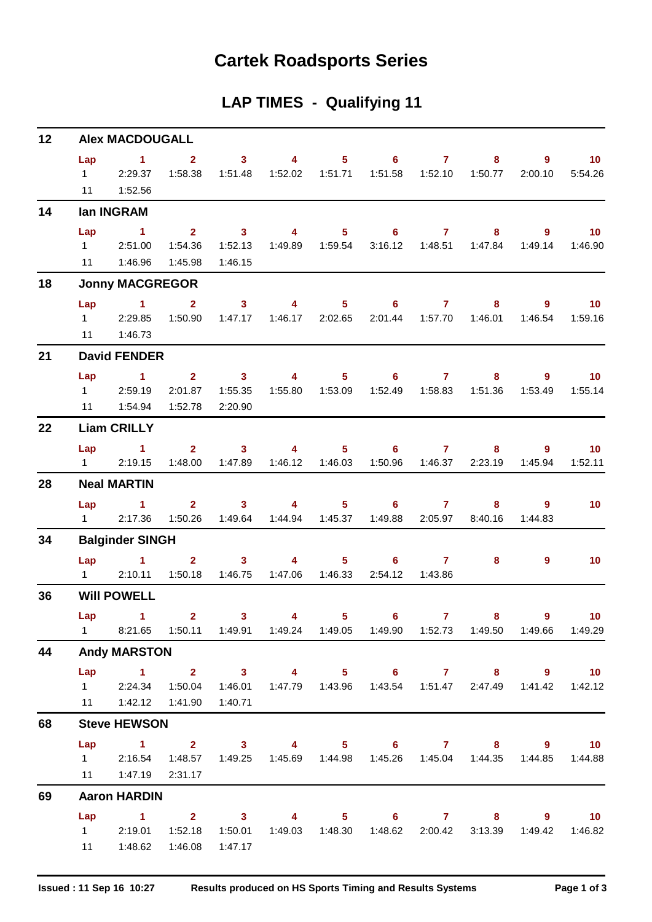## **Cartek Roadsports Series**

## **LAP TIMES - Qualifying 11**

| 12 |                             | <b>Alex MACDOUGALL</b>                                |                                                                                 |                                               |                           |                                    |                            |                                    |                                                               |                        |                                     |
|----|-----------------------------|-------------------------------------------------------|---------------------------------------------------------------------------------|-----------------------------------------------|---------------------------|------------------------------------|----------------------------|------------------------------------|---------------------------------------------------------------|------------------------|-------------------------------------|
|    | Lap<br>$1 \quad \Box$<br>11 | $\mathbf 1$<br>2:29.37<br>1:52.56                     | $\overline{2}$<br>1:58.38                                                       | 3 <sup>7</sup><br>1:51.48                     | 4<br>1:52.02              | 5 <sub>1</sub><br>1:51.71          | $6^{\circ}$<br>1:51.58     | $\overline{\mathbf{7}}$<br>1:52.10 | 8<br>1:50.77                                                  | 9<br>2:00.10           | 10 <sub>1</sub><br>5:54.26          |
| 14 |                             | lan INGRAM                                            |                                                                                 |                                               |                           |                                    |                            |                                    |                                                               |                        |                                     |
|    | Lap<br>$1 \quad$<br>11      | $\mathbf 1$<br>2:51.00<br>1:46.96                     | 2 <sup>1</sup><br>1:54.36<br>1:45.98                                            | 3 <sup>1</sup><br>1:52.13<br>1:46.15          | $\overline{4}$            | 5 <sub>1</sub><br>1:49.89  1:59.54 | 6<br>3:16.12               | $\mathbf{7}$<br>1:48.51            | 8<br>1:47.84                                                  | $9^{\circ}$<br>1:49.14 | 10 <sub>1</sub><br>1:46.90          |
| 18 |                             | <b>Jonny MACGREGOR</b>                                |                                                                                 |                                               |                           |                                    |                            |                                    |                                                               |                        |                                     |
|    | Lap                         | $\sim$ $\sim$ 1.                                      | $\overline{2}$                                                                  | 3 <sup>1</sup>                                | $\overline{4}$            | 5 <sub>1</sub>                     | $\overline{\phantom{a}}$ 6 | $\mathbf{7}$                       | 8                                                             | 9                      | 10 <sup>°</sup>                     |
|    | $1 \quad \Box$<br>11        | 2:29.85<br>1:46.73                                    | 1:50.90                                                                         | 1:47.17                                       | 1:46.17                   | 2:02.65                            | 2:01.44                    | 1:57.70                            | 1:46.01                                                       | 1:46.54                | 1:59.16                             |
| 21 |                             | <b>David FENDER</b>                                   |                                                                                 |                                               |                           |                                    |                            |                                    |                                                               |                        |                                     |
|    | Lap<br>11                   | $\blacktriangleleft$<br>1 2:59.19<br>1:54.94          | 2 <sup>7</sup><br>2:01.87<br>1:52.78                                            | 3 <sup>1</sup><br>1:55.35<br>2:20.90          | $\overline{4}$            | 5 <sub>1</sub>                     | 6<br>1:52.49               | $\mathbf{7}$<br>1:58.83            | 8<br>1:51.36                                                  | $9^{\circ}$<br>1:53.49 | 10 <sup>°</sup><br>1:55.14          |
| 22 |                             | <b>Liam CRILLY</b>                                    |                                                                                 |                                               |                           |                                    |                            |                                    |                                                               |                        |                                     |
|    | Lap<br>$1 \quad \Box$       | $\sim$ $-1$<br>2:19.15                                | 2 <sup>7</sup><br>1:48.00                                                       | $\sim$ 3<br>1:47.89                           | $\overline{4}$<br>1:46.12 | 1:46.03                            | $5 \t\t 6$<br>1:50.96      | $\overline{7}$<br>1:46.37          | 8<br>2:23.19                                                  | 9<br>1:45.94           | 10 <sup>°</sup><br>1:52.11          |
| 28 |                             | <b>Neal MARTIN</b>                                    |                                                                                 |                                               |                           |                                    |                            |                                    |                                                               |                        |                                     |
|    | Lap<br>$1 \quad \Box$       | $\mathbf{1}$<br>2:17.36                               | 2 <sup>1</sup><br>1:50.26                                                       | 3 <sup>7</sup><br>1:49.64                     | $\overline{4}$            | 5 <sub>1</sub><br>1:44.94  1:45.37 | 6 <sup>1</sup><br>1:49.88  | $\mathbf{7}$<br>2:05.97            | 8<br>8:40.16                                                  | $9^{\circ}$<br>1:44.83 | 10 <sub>1</sub>                     |
| 34 |                             | <b>Balginder SINGH</b>                                |                                                                                 |                                               |                           |                                    |                            |                                    |                                                               |                        |                                     |
|    | Lap<br>$1 \quad \Box$       | $\blacktriangleleft$<br>2:10.11                       | 2 <sup>1</sup><br>1:50.18                                                       | 3 <sup>1</sup><br>1:46.75                     | $\overline{4}$            | $5 -$<br>1:47.06  1:46.33          | 6<br>2:54.12               | $\mathbf{7}$<br>1:43.86            | 8                                                             | 9                      | 10 <sub>1</sub>                     |
| 36 |                             | <b>Will POWELL</b>                                    |                                                                                 |                                               |                           |                                    |                            |                                    |                                                               |                        |                                     |
|    | Lap<br>$1 \quad$            | $\sim$ 1.                                             | $\overline{2}$<br>8:21.65  1:50.11  1:49.91  1:49.24  1:49.05  1:49.90  1:52.73 | 3 <sup>1</sup>                                | 4                         | 5 <sup>5</sup>                     | 6 <sup>1</sup>             | $\overline{7}$                     | 8<br>1:49.50                                                  | $9^{\circ}$<br>1:49.66 | 10 <sup>°</sup><br>1:49.29          |
| 44 |                             | <b>Andy MARSTON</b>                                   |                                                                                 |                                               |                           |                                    |                            |                                    |                                                               |                        |                                     |
|    | Lap                         | $\sim$ 1<br>1 2:24.34 1:50.04<br>11  1:42.12  1:41.90 | $\overline{\mathbf{2}}$                                                         | $\overline{\mathbf{3}}$<br>1:46.01<br>1:40.71 | $\overline{\mathbf{4}}$   |                                    | $5 \t\t 6$                 |                                    | $8 -$<br>1:47.79  1:43.96  1:43.54  1:51.47  2:47.49          |                        | $9 \t 10$<br>1:41.42  1:42.12       |
| 68 |                             | <b>Steve HEWSON</b>                                   |                                                                                 |                                               |                           |                                    |                            |                                    |                                                               |                        |                                     |
|    | Lap<br>$1 \quad \Box$<br>11 | $\sim$ 1<br>2:16.54<br>1:47.19                        | $2 \t 3$<br>1:48.57<br>2:31.17                                                  | 1:49.25                                       |                           |                                    |                            |                                    | 4 5 6 7 8 9 10<br>1:45.69  1:44.98  1:45.26  1:45.04  1:44.35 | 1:44.85                | 1:44.88                             |
| 69 |                             | <b>Aaron HARDIN</b>                                   |                                                                                 |                                               |                           |                                    |                            |                                    |                                                               |                        |                                     |
|    | Lap<br>$1 \quad$<br>11      | $\blacktriangleleft$<br>2:19.01<br>1:48.62            | $2^{\circ}$<br>1:52.18<br>1:46.08                                               | $\overline{\mathbf{3}}$<br>1:50.01<br>1:47.17 |                           | $\overline{4}$ and $\overline{4}$  | $5^{\circ}$<br>$6 -$       |                                    | 1:49.03  1:48.30  1:48.62  2:00.42  3:13.39                   | $8 - 1$<br>$9^{\circ}$ | 10 <sub>1</sub><br>1:49.42  1:46.82 |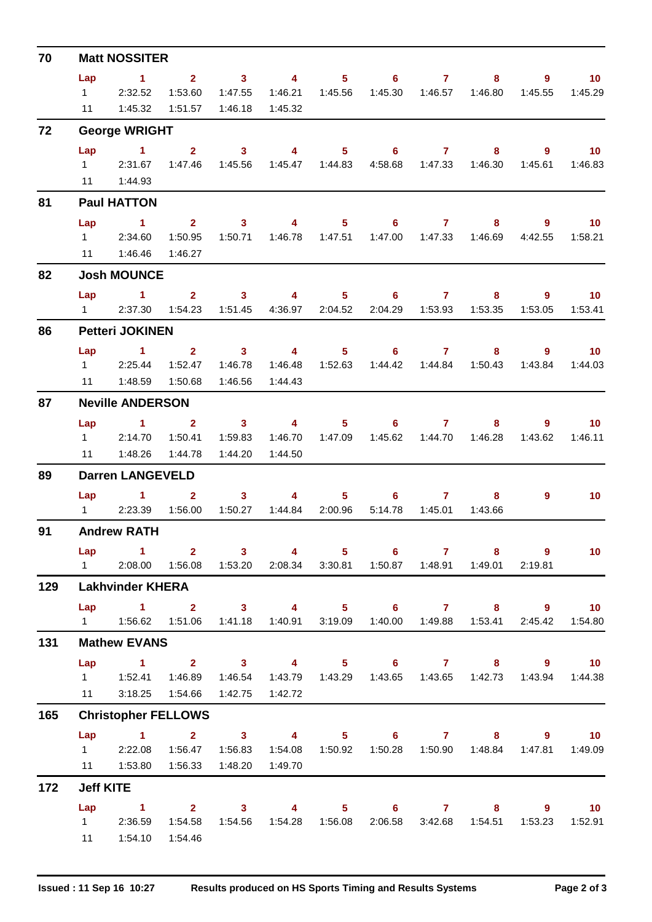| 70  |                | <b>Matt NOSSITER</b>                                                              |                |                         |                                     |                  |                                             |                |                           |                                                               |                  |
|-----|----------------|-----------------------------------------------------------------------------------|----------------|-------------------------|-------------------------------------|------------------|---------------------------------------------|----------------|---------------------------|---------------------------------------------------------------|------------------|
|     | Lap            | $\sim$ 1                                                                          | $\overline{2}$ | $\overline{\mathbf{3}}$ | $\sim$ 4                            |                  | $5 \t\t 6 \t\t 7$                           |                | 8                         | 9                                                             | 10 <sup>°</sup>  |
|     | $1 \quad \Box$ | 2:32.52                                                                           | 1:53.60        | 1:47.55                 | 1:46.21                             | 1:45.56          |                                             |                | 1:45.30  1:46.57  1:46.80 | 1:45.55                                                       | 1:45.29          |
|     | 11             | 1:45.32                                                                           | 1:51.57        | 1:46.18                 | 1:45.32                             |                  |                                             |                |                           |                                                               |                  |
| 72  |                | <b>George WRIGHT</b>                                                              |                |                         |                                     |                  |                                             |                |                           |                                                               |                  |
|     | Lap            | $\sim$ 1                                                                          | $\mathbf{2}$   | $\overline{\mathbf{3}}$ | $\overline{\mathbf{4}}$             |                  | $5 \t\t 6$                                  | $\overline{7}$ | 8                         | $9^{\circ}$                                                   | 10 <sub>1</sub>  |
|     |                | 1 2:31.67                                                                         |                | 1:47.46  1:45.56        |                                     | 1:45.47  1:44.83 |                                             |                | 4:58.68  1:47.33  1:46.30 | 1:45.61                                                       | 1:46.83          |
|     |                | 11  1:44.93                                                                       |                |                         |                                     |                  |                                             |                |                           |                                                               |                  |
| 81  |                | <b>Paul HATTON</b>                                                                |                |                         |                                     |                  |                                             |                |                           |                                                               |                  |
|     | Lap            | $\sim$ 1.                                                                         |                |                         | $2 \qquad \qquad 3 \qquad \qquad 4$ |                  | $5 \t\t 6 \t\t 7$                           |                | $8 -$                     | 9                                                             | 10               |
|     | $1 \quad \Box$ | 2:34.60                                                                           | 1:50.95        | 1:50.71                 |                                     | 1:46.78  1:47.51 |                                             |                | 1:47.00  1:47.33  1:46.69 | 4:42.55                                                       | 1:58.21          |
|     | 11             | 1:46.46                                                                           | 1:46.27        |                         |                                     |                  |                                             |                |                           |                                                               |                  |
| 82  |                | <b>Josh MOUNCE</b>                                                                |                |                         |                                     |                  |                                             |                |                           |                                                               |                  |
|     | Lap            | $\sim$ 1                                                                          | $\mathbf{2}$   | $\overline{\mathbf{3}}$ | $\sim$ 4 $\sim$                     |                  | $5^{\circ}$<br>$6 -$                        | $\mathbf{7}$   | 8                         | 9                                                             | 10 <sup>°</sup>  |
|     | $1 \quad \Box$ | 2:37.30                                                                           |                |                         | 1:54.23  1:51.45  4:36.97  2:04.52  |                  |                                             |                | 2:04.29  1:53.93  1:53.35 | 1:53.05                                                       | 1:53.41          |
| 86  |                | <b>Petteri JOKINEN</b>                                                            |                |                         |                                     |                  |                                             |                |                           |                                                               |                  |
|     | Lap            | $\sim$ 1.000 $\sim$                                                               | $2^{\circ}$    |                         | $3 \t 4$                            | 5 <sub>1</sub>   |                                             | $6\qquad 7$    | 8                         | $9^{\circ}$                                                   | 10 <sup>°</sup>  |
|     |                | 1 2:25.44 1:52.47                                                                 |                | 1:46.78                 |                                     |                  | 1:46.48  1:52.63  1:44.42  1:44.84  1:50.43 |                |                           |                                                               | 1:43.84  1:44.03 |
|     | 11             | 1:48.59                                                                           | 1:50.68        | 1:46.56                 | 1:44.43                             |                  |                                             |                |                           |                                                               |                  |
| 87  |                | <b>Neville ANDERSON</b>                                                           |                |                         |                                     |                  |                                             |                |                           |                                                               |                  |
|     | Lap            | $\sim$ 1.000 $\sim$ 1.000 $\sim$                                                  | $\overline{2}$ |                         | $3 \t 4$                            |                  | $5 \t\t 6$                                  | 7 <sup>7</sup> | 8                         | $9^{\circ}$                                                   | 10 <sup>°</sup>  |
|     | $1 \quad \Box$ | 2:14.70                                                                           | 1:50.41        | 1:59.83                 |                                     |                  |                                             |                | 1:45.62  1:44.70  1:46.28 | 1:43.62                                                       | 1:46.11          |
|     |                |                                                                                   | 1:44.78        | 1:44.20                 | 1:44.50                             |                  |                                             |                |                           |                                                               |                  |
| 89  |                | <b>Darren LANGEVELD</b>                                                           |                |                         |                                     |                  |                                             |                |                           |                                                               |                  |
|     | Lap            | $\sim$ 1 2                                                                        |                | 3 <sup>7</sup>          | $\overline{4}$                      | $5 -$            | 6                                           | $\mathbf{7}$   | 8                         | 9                                                             | 10 <sup>°</sup>  |
|     |                | 1 2:23.39 1:56.00                                                                 |                |                         | 1:50.27  1:44.84  2:00.96           |                  | 5:14.78                                     | 1:45.01        | 1:43.66                   |                                                               |                  |
| 91  |                | <b>Andrew RATH</b>                                                                |                |                         |                                     |                  |                                             |                |                           |                                                               |                  |
|     | Lap            | $\sim$ 1.                                                                         |                | $2 \qquad \qquad 3$     | $\overline{4}$                      |                  | $5 \t\t 6 \t\t 7$                           |                | 8                         | $\overline{9}$                                                | 10 <sub>1</sub>  |
|     |                | 1  2:08.00  1:56.08  1:53.20  2:08.34  3:30.81  1:50.87  1:48.91  1:49.01         |                |                         |                                     |                  |                                             |                |                           | 2:19.81                                                       |                  |
| 129 |                | <b>Lakhvinder KHERA</b>                                                           |                |                         |                                     |                  |                                             |                |                           |                                                               |                  |
|     | Lap            | 1 2 3 4 5 6 7 8 9 10                                                              |                |                         |                                     |                  |                                             |                |                           |                                                               |                  |
|     |                | 1   1:56.62   1:51.06   1:41.18   1:40.91   3:19.09   1:40.00   1:49.88   1:53.41 |                |                         |                                     |                  |                                             |                |                           |                                                               | 2:45.42 1:54.80  |
| 131 |                | <b>Mathew EVANS</b>                                                               |                |                         |                                     |                  |                                             |                |                           |                                                               |                  |
|     | Lap            | 1 2 3 4 5 6 7 8 9 10                                                              |                |                         |                                     |                  |                                             |                |                           |                                                               |                  |
|     |                | 1   1:52.41   1:46.89                                                             |                | 1:46.54                 |                                     |                  |                                             |                |                           | 1:43.79  1:43.29  1:43.65  1:43.65  1:42.73  1:43.94  1:44.38 |                  |
|     |                |                                                                                   |                |                         | 1:42.72                             |                  |                                             |                |                           |                                                               |                  |
| 165 |                | <b>Christopher FELLOWS</b>                                                        |                |                         |                                     |                  |                                             |                |                           |                                                               |                  |
|     | Lap            | $\overline{1}$ $\overline{2}$                                                     |                |                         |                                     |                  |                                             |                |                           | 3 4 5 6 7 8 9 10                                              |                  |
|     |                | 1 2:22.08                                                                         |                | 1:56.47  1:56.83        |                                     |                  |                                             |                |                           |                                                               | 1:47.81  1:49.09 |
|     |                | 11   1:53.80   1:56.33   1:48.20                                                  |                |                         | 1:49.70                             |                  |                                             |                |                           |                                                               |                  |
| 172 |                | <b>Jeff KITE</b>                                                                  |                |                         |                                     |                  |                                             |                |                           |                                                               |                  |
|     | Lap            | 1 2 3 4 5 6 7 8 9 10                                                              |                |                         |                                     |                  |                                             |                |                           |                                                               |                  |
|     |                | 1 2:36.59                                                                         | 1:54.58        | 1:54.56                 |                                     |                  |                                             |                | 2:06.58 3:42.68 1:54.51   | 1:53.23                                                       | 1:52.91          |
|     |                | 11   1:54.10                                                                      | 1:54.46        |                         |                                     |                  |                                             |                |                           |                                                               |                  |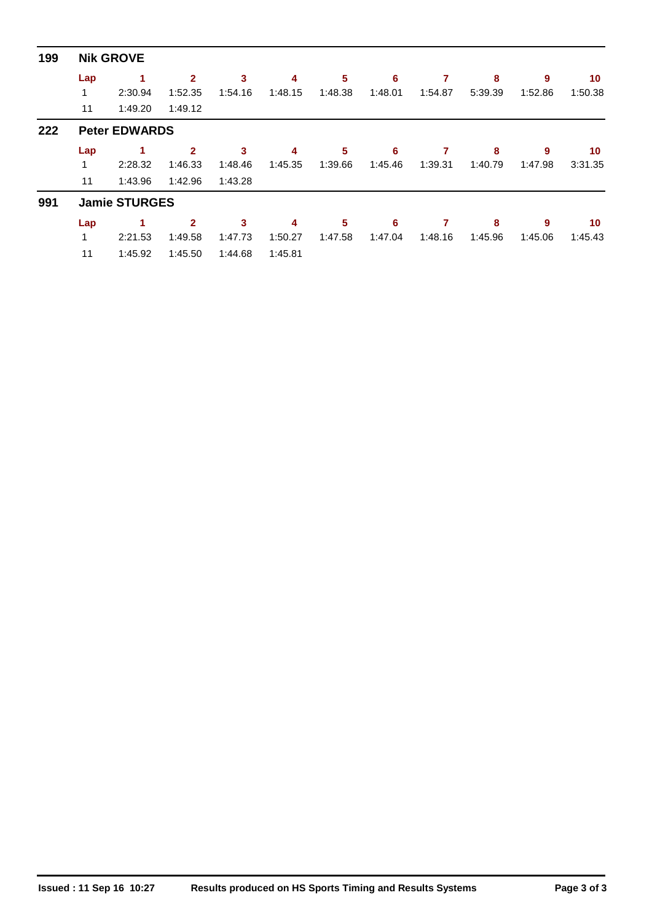| 199 |     | <b>Nik GROVE</b>     |              |         |         |         |         |         |         |         |         |
|-----|-----|----------------------|--------------|---------|---------|---------|---------|---------|---------|---------|---------|
|     | Lap | 1                    | $\mathbf{2}$ | 3       | 4       | 5       | 6       | 7       | 8       | 9       | 10      |
|     | 1   | 2:30.94              | 1:52.35      | 1:54.16 | 1:48.15 | 1:48.38 | 1:48.01 | 1:54.87 | 5:39.39 | 1:52.86 | 1:50.38 |
|     | 11  | 1:49.20              | 1:49.12      |         |         |         |         |         |         |         |         |
| 222 |     | <b>Peter EDWARDS</b> |              |         |         |         |         |         |         |         |         |
|     | Lap | 1                    | $\mathbf{2}$ | 3       | 4       | 5       | 6       | 7       | 8       | 9       | 10      |
|     |     | 2:28.32              | 1:46.33      | 1:48.46 | 1:45.35 | 1:39.66 | 1:45.46 | 1:39.31 | 1:40.79 | 1:47.98 | 3:31.35 |
|     | 11  | 1:43.96              | 1:42.96      | 1:43.28 |         |         |         |         |         |         |         |
| 991 |     | <b>Jamie STURGES</b> |              |         |         |         |         |         |         |         |         |
|     | Lap | 1.                   | $\mathbf{2}$ | 3       | 4       | 5       | 6       | 7       | 8       | 9       | 10      |
|     | 1   | 2:21.53              | 1:49.58      | 1:47.73 | 1:50.27 | 1:47.58 | 1:47.04 | 1:48.16 | 1:45.96 | 1:45.06 | 1:45.43 |
|     | 11  | 1:45.92              | 1:45.50      | 1:44.68 | 1:45.81 |         |         |         |         |         |         |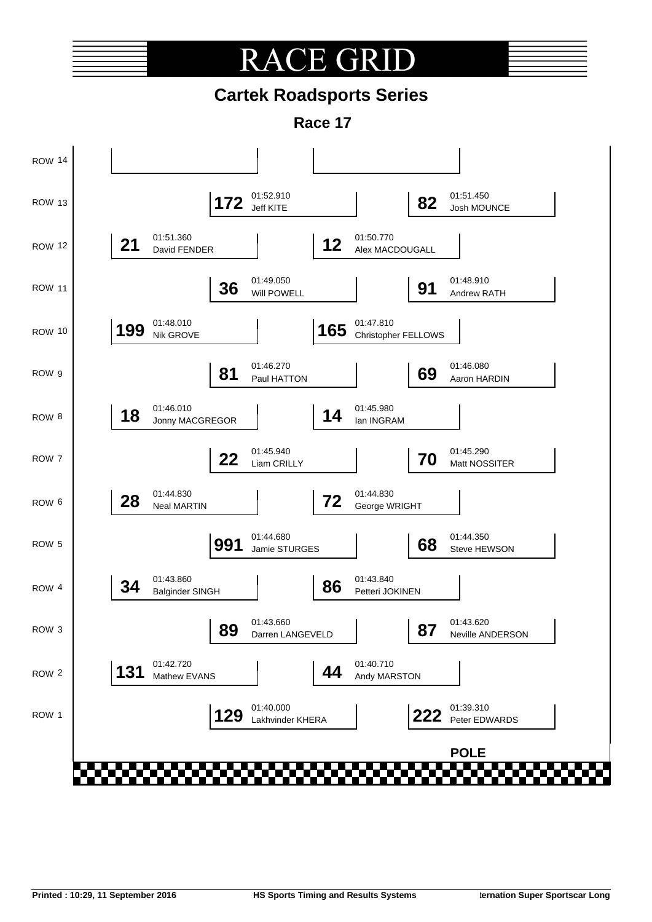# **RACE GRI**

## **Cartek Roadsports Series**

**Race 17**

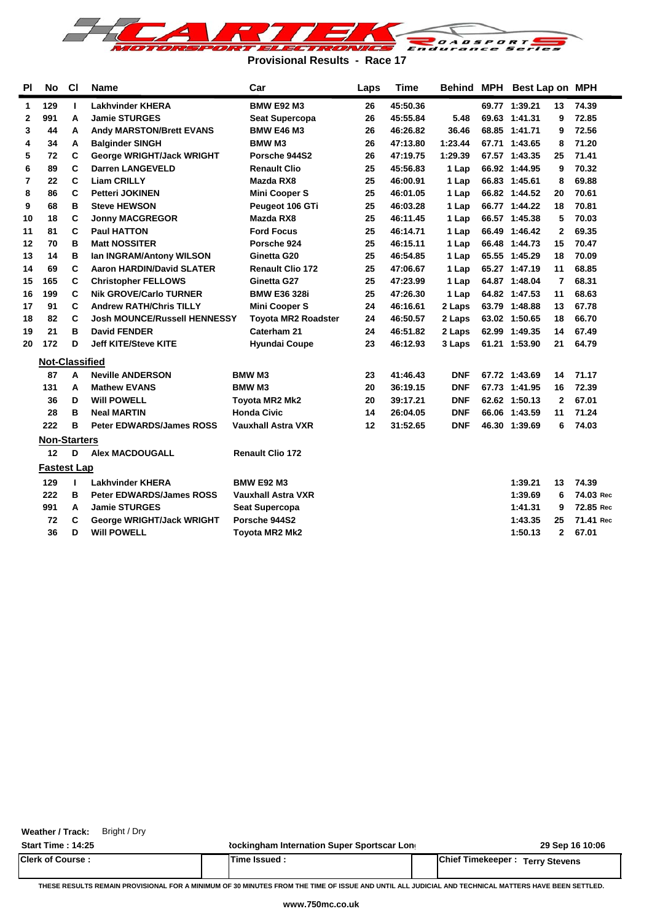

**Provisional Results - Race 17**

| <b>PI</b>      | <b>No</b>             | C1 | <b>Name</b>                         | Car                        | Laps | <b>Time</b> |            | Behind MPH Best Lap on MPH |              |           |
|----------------|-----------------------|----|-------------------------------------|----------------------------|------|-------------|------------|----------------------------|--------------|-----------|
| 1              | 129                   | L  | <b>Lakhvinder KHERA</b>             | <b>BMW E92 M3</b>          | 26   | 45:50.36    |            | 69.77 1:39.21              | 13           | 74.39     |
| 2              | 991                   | A  | <b>Jamie STURGES</b>                | <b>Seat Supercopa</b>      | 26   | 45:55.84    | 5.48       | 69.63 1:41.31              | 9            | 72.85     |
| 3              | 44                    | A  | <b>Andy MARSTON/Brett EVANS</b>     | <b>BMW E46 M3</b>          | 26   | 46:26.82    | 36.46      | 68.85 1:41.71              | 9            | 72.56     |
| 4              | 34                    | Α  | <b>Balginder SINGH</b>              | <b>BMW M3</b>              | 26   | 47:13.80    | 1:23.44    | 67.71 1:43.65              | 8            | 71.20     |
| 5              | 72                    | С  | George WRIGHT/Jack WRIGHT           | Porsche 944S2              | 26   | 47:19.75    | 1:29.39    | 67.57 1:43.35              | 25           | 71.41     |
| 6              | 89                    | C  | <b>Darren LANGEVELD</b>             | <b>Renault Clio</b>        | 25   | 45:56.83    | 1 Lap      | 66.92 1:44.95              | 9            | 70.32     |
| $\overline{7}$ | 22                    | C  | <b>Liam CRILLY</b>                  | Mazda RX8                  | 25   | 46:00.91    | 1 Lap      | 66.83 1:45.61              | 8            | 69.88     |
| 8              | 86                    | C  | <b>Petteri JOKINEN</b>              | <b>Mini Cooper S</b>       | 25   | 46:01.05    | 1 Lap      | 66.82 1:44.52              | 20           | 70.61     |
| 9              | 68                    | в  | <b>Steve HEWSON</b>                 | Peugeot 106 GTi            | 25   | 46:03.28    | 1 Lap      | 66.77 1:44.22              | 18           | 70.81     |
| 10             | 18                    | C  | <b>Jonny MACGREGOR</b>              | Mazda RX8                  | 25   | 46:11.45    | 1 Lap      | 66.57 1:45.38              | 5            | 70.03     |
| 11             | 81                    | C  | <b>Paul HATTON</b>                  | <b>Ford Focus</b>          | 25   | 46:14.71    | 1 Lap      | 66.49 1:46.42              | $\mathbf{2}$ | 69.35     |
| 12             | 70                    | в  | <b>Matt NOSSITER</b>                | Porsche 924                | 25   | 46:15.11    | 1 Lap      | 66.48 1:44.73              | 15           | 70.47     |
| 13             | 14                    | в  | Ian INGRAM/Antony WILSON            | Ginetta G20                | 25   | 46:54.85    | 1 Lap      | 65.55 1:45.29              | 18           | 70.09     |
| 14             | 69                    | C  | <b>Aaron HARDIN/David SLATER</b>    | <b>Renault Clio 172</b>    | 25   | 47:06.67    | 1 Lap      | 65.27 1:47.19              | 11           | 68.85     |
| 15             | 165                   | C  | <b>Christopher FELLOWS</b>          | Ginetta G27                | 25   | 47:23.99    | 1 Lap      | 64.87 1:48.04              | 7            | 68.31     |
| 16             | 199                   | C  | <b>Nik GROVE/Carlo TURNER</b>       | <b>BMW E36 328i</b>        | 25   | 47:26.30    | 1 Lap      | 64.82 1:47.53              | 11           | 68.63     |
| 17             | 91                    | C  | <b>Andrew RATH/Chris TILLY</b>      | <b>Mini Cooper S</b>       | 24   | 46:16.61    | 2 Laps     | 63.79 1:48.88              | 13           | 67.78     |
| 18             | 82                    | C  | <b>Josh MOUNCE/Russell HENNESSY</b> | <b>Toyota MR2 Roadster</b> | 24   | 46:50.57    | 2 Laps     | 63.02 1:50.65              | 18           | 66.70     |
| 19             | 21                    | в  | <b>David FENDER</b>                 | Caterham 21                | 24   | 46:51.82    | 2 Laps     | 62.99 1:49.35              | 14           | 67.49     |
| 20             | 172                   | D  | <b>Jeff KITE/Steve KITE</b>         | <b>Hyundai Coupe</b>       | 23   | 46:12.93    | 3 Laps     | 61.21 1:53.90              | 21           | 64.79     |
|                | <b>Not-Classified</b> |    |                                     |                            |      |             |            |                            |              |           |
|                | 87                    | A  | <b>Neville ANDERSON</b>             | <b>BMW M3</b>              | 23   | 41:46.43    | <b>DNF</b> | 67.72 1:43.69              | 14           | 71.17     |
|                | 131                   | A  | <b>Mathew EVANS</b>                 | <b>BMW M3</b>              | 20   | 36:19.15    | <b>DNF</b> | 67.73 1:41.95              | 16           | 72.39     |
|                | 36                    | D  | <b>Will POWELL</b>                  | <b>Toyota MR2 Mk2</b>      | 20   | 39:17.21    | <b>DNF</b> | 62.62 1:50.13              | $\mathbf{2}$ | 67.01     |
|                | 28                    | в  | <b>Neal MARTIN</b>                  | <b>Honda Civic</b>         | 14   | 26:04.05    | <b>DNF</b> | 66.06 1:43.59              | 11           | 71.24     |
|                | 222                   | в  | <b>Peter EDWARDS/James ROSS</b>     | <b>Vauxhall Astra VXR</b>  | 12   | 31:52.65    | <b>DNF</b> | 46.30 1:39.69              | 6            | 74.03     |
|                | <b>Non-Starters</b>   |    |                                     |                            |      |             |            |                            |              |           |
|                | 12                    | D  | <b>Alex MACDOUGALL</b>              | <b>Renault Clio 172</b>    |      |             |            |                            |              |           |
|                | <b>Fastest Lap</b>    |    |                                     |                            |      |             |            |                            |              |           |
|                | 129                   | т. | <b>Lakhvinder KHERA</b>             | <b>BMW E92 M3</b>          |      |             |            | 1:39.21                    | 13           | 74.39     |
|                | 222                   | в  | <b>Peter EDWARDS/James ROSS</b>     | <b>Vauxhall Astra VXR</b>  |      |             |            | 1:39.69                    | 6            | 74.03 Rec |
|                | 991                   | A  | <b>Jamie STURGES</b>                | <b>Seat Supercopa</b>      |      |             |            | 1:41.31                    | 9            | 72.85 Rec |
|                | 72                    | C  | George WRIGHT/Jack WRIGHT           | Porsche 944S2              |      |             |            | 1:43.35                    | 25           | 71.41 Rec |
|                | 36                    | D  | <b>Will POWELL</b>                  | Toyota MR2 Mk2             |      |             |            | 1:50.13                    | $\mathbf{2}$ | 67.01     |

**Weather / Track:** Bright / Dry

**Start Time : 14:25 Rockingham Internation Super Sportscar Long <b>29 Sep 16 10:06 29 Sep 16 10:06 Clerk of Course : Time Issued : Chief Timekeeper : Terry Stevens**

**THESE RESULTS REMAIN PROVISIONAL FOR A MINIMUM OF 30 MINUTES FROM THE TIME OF ISSUE AND UNTIL ALL JUDICIAL AND TECHNICAL MATTERS HAVE BEEN SETTLED.**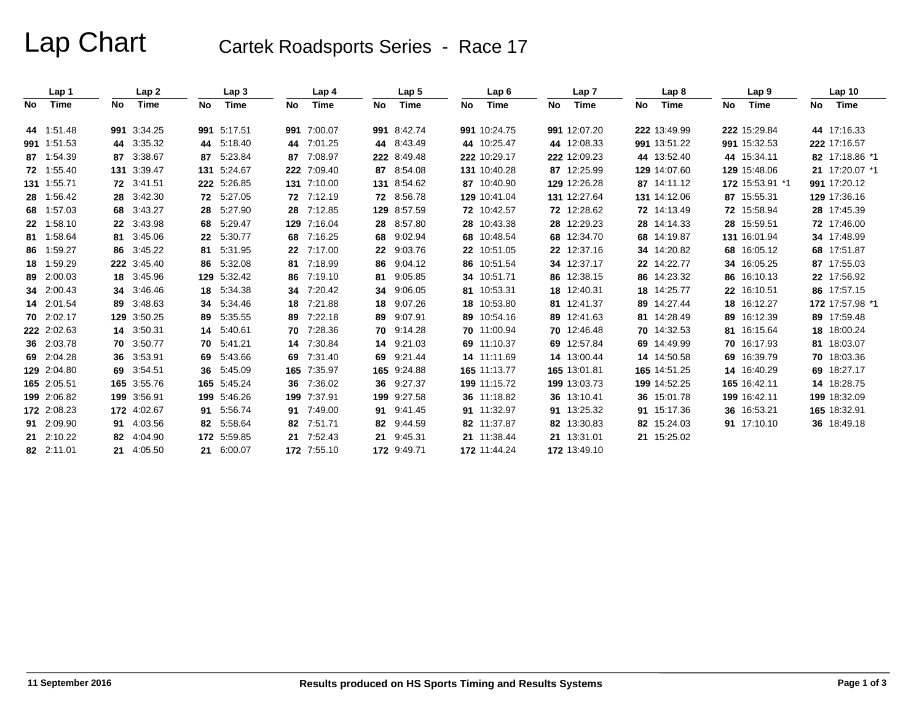# Lap Chart Cartek Roadsports Series - Race 17

|     | Lap 1       |    | Lap 2       |     | Lap <sub>3</sub> |     | Lap <sub>4</sub> |     | Lap <sub>5</sub> |    | Lap6         |    | Lap <sub>7</sub> |    | Lap 8        |    | Lap 9           |     | Lap <sub>10</sub> |
|-----|-------------|----|-------------|-----|------------------|-----|------------------|-----|------------------|----|--------------|----|------------------|----|--------------|----|-----------------|-----|-------------------|
| No. | Time        | No | Time        | No  | Time             | No  | Time             | No. | Time             | No | Time         | No | Time             | No | Time         | No | Time            | No. | Time              |
|     | 44 1.51.48  |    | 991 3:34.25 |     | 991 5:17.51      | 991 | 7:00.07          |     | 991 8:42.74      |    | 991 10:24.75 |    | 991 12:07.20     |    | 222 13:49.99 |    | 222 15:29.84    |     | 44 17:16.33       |
|     | 991 1:51.53 |    | 44 3:35.32  | 44  | 5:18.40          | 44  | 7:01.25          |     | 44 8:43.49       |    | 44 10:25.47  |    | 44 12:08.33      |    | 991 13:51.22 |    | 991 15:32.53    |     | 222 17:16.57      |
|     | 87 1:54.39  |    | 87 3:38.67  | 87  | 5:23.84          | 87  | 7:08.97          |     | 222 8:49.48      |    | 222 10:29.17 |    | 222 12:09.23     |    | 44 13:52.40  |    | 44 15:34.11     |     | 82 17:18.86 *1    |
|     | 72 1:55.40  |    | 131 3:39.47 |     | 131 5:24.67      | 222 | 7:09.40          |     | 87 8:54.08       |    | 131 10:40.28 |    | 87 12:25.99      |    | 129 14:07.60 |    | 129 15:48.06    |     | 21 17:20.07 *1    |
|     | 131 1:55.71 |    | 72 3:41.51  |     | 222 5:26.85      | 131 | 7:10.00          |     | 131 8:54.62      |    | 87 10:40.90  |    | 129 12:26.28     |    | 87 14:11.12  |    | 172 15:53.91 *1 |     | 991 17:20.12      |
|     | 28 1:56.42  |    | 28 3:42.30  |     | 72 5:27.05       |     | 72 7:12.19       |     | 72 8:56.78       |    | 129 10:41.04 |    | 131 12:27.64     |    | 131 14:12.06 |    | 87 15:55.31     |     | 129 17:36.16      |
|     | 68 1:57.03  |    | 68 3:43.27  | 28  | 5:27.90          | 28  | 7:12.85          |     | 129 8:57.59      |    | 72 10:42.57  |    | 72 12:28.62      |    | 72 14:13.49  |    | 72 15:58.94     |     | 28 17:45.39       |
|     | 22 1:58.10  |    | 22 3:43.98  | 68  | 5:29.47          | 129 | 7:16.04          |     | 28 8:57.80       |    | 28 10:43.38  |    | 28 12:29.23      |    | 28 14:14.33  |    | 28 15:59.51     |     | 72 17:46.00       |
|     | 81 1:58.64  |    | 81 3:45.06  | 22  | 5:30.77          | 68  | 7:16.25          | 68  | 9:02.94          |    | 68 10:48.54  |    | 68 12:34.70      |    | 68 14:19.87  |    | 131 16:01.94    |     | 34 17:48.99       |
|     | 86 1:59.27  |    | 86 3:45.22  | 81. | 5:31.95          | 22  | 7:17.00          |     | 22 9:03.76       |    | 22 10:51.05  |    | 22 12:37.16      |    | 34 14:20.82  |    | 68 16:05.12     |     | 68 17:51.87       |
|     | 18 1:59.29  |    | 222 3:45.40 | 86  | 5:32.08          | 81  | 7:18.99          |     | 86 9:04.12       |    | 86 10:51.54  |    | 34 12:37.17      |    | 22 14:22.77  |    | 34 16:05.25     |     | 87 17:55.03       |
|     | 89 2:00.03  |    | 18 3:45.96  |     | 129 5:32.42      | 86  | 7:19.10          | 81  | 9:05.85          |    | 34 10:51.71  |    | 86 12:38.15      |    | 86 14:23.32  |    | 86 16:10.13     |     | 22 17:56.92       |
|     | 34 2:00.43  |    | 34 3:46.46  | 18  | 5:34.38          | 34  | 7:20.42          | 34  | 9:06.05          |    | 81 10:53.31  |    | 18 12:40.31      |    | 18 14:25.77  |    | 22 16:10.51     |     | 86 17:57.15       |
|     | 14 2:01.54  |    | 89 3:48.63  | 34  | 5:34.46          | 18  | 7:21.88          | 18  | 9:07.26          |    | 18 10:53.80  |    | 81 12:41.37      |    | 89 14:27.44  |    | 18 16:12.27     |     | 172 17:57.98 *1   |
|     | 70 2:02.17  |    | 129 3:50.25 | 89  | 5:35.55          | 89  | 7:22.18          | 89  | 9:07.91          |    | 89 10:54.16  |    | 89 12:41.63      |    | 81 14:28.49  |    | 89 16:12.39     |     | 89 17:59.48       |
|     | 222 2:02.63 |    | 14 3:50.31  | 14  | 5:40.61          | 70  | 7:28.36          |     | 70 9:14.28       |    | 70 11:00.94  |    | 70 12:46.48      |    | 70 14:32.53  |    | 81 16:15.64     |     | 18 18:00.24       |
|     | 36 2:03.78  |    | 70 3:50.77  | 70  | 5:41.21          | 14  | 7:30.84          | 14  | 9:21.03          |    | 69 11:10.37  |    | 69 12:57.84      |    | 69 14:49.99  |    | 70 16:17.93     |     | 81 18:03.07       |
|     | 69 2:04.28  |    | 36 3:53.91  | 69  | 5:43.66          | 69  | 7:31.40          |     | 69 9:21.44       |    | 14 11:11.69  |    | 14 13:00.44      |    | 14 14:50.58  |    | 69 16:39.79     |     | 70 18:03.36       |
|     | 129 2:04.80 |    | 69 3:54.51  | 36  | 5:45.09          |     | 165 7:35.97      |     | 165 9:24.88      |    | 165 11:13.77 |    | 165 13:01.81     |    | 165 14:51.25 |    | 14 16:40.29     |     | 69 18:27.17       |
|     | 165 2:05.51 |    | 165 3:55.76 |     | 165 5:45.24      | 36  | 7:36.02          |     | 36 9:27.37       |    | 199 11:15.72 |    | 199 13:03.73     |    | 199 14:52.25 |    | 165 16:42.11    |     | 14 18:28.75       |
|     | 199 2:06.82 |    | 199 3:56.91 |     | 199 5:46.26      | 199 | 7:37.91          |     | 199 9:27.58      |    | 36 11:18.82  |    | 36 13:10.41      |    | 36 15:01.78  |    | 199 16:42.11    |     | 199 18:32.09      |
|     | 172 2:08.23 |    | 172 4:02.67 | 91. | 5:56.74          | 91  | 7:49.00          |     | 91 9:41.45       |    | 91 11:32.97  |    | 91 13:25.32      |    | 91 15:17.36  |    | 36 16:53.21     |     | 165 18:32.91      |
|     | 91 2:09.90  |    | 91 4:03.56  | 82  | 5.58.64          | 82  | 7:51.71          |     | 82 9:44.59       |    | 82 11:37.87  |    | 82 13:30.83      |    | 82 15:24.03  |    | 91 17:10.10     |     | 36 18:49.18       |
|     | 21 2:10.22  |    | 82 4:04.90  |     | 172 5:59.85      | 21  | 7:52.43          |     | 21 9:45.31       |    | 21 11:38.44  |    | 21 13:31.01      |    | 21 15:25.02  |    |                 |     |                   |
|     | 82 2:11.01  |    | 21 4:05.50  |     | 21 6:00.07       |     | 172 7:55.10      |     | 172 9:49.71      |    | 172 11:44.24 |    | 172 13:49.10     |    |              |    |                 |     |                   |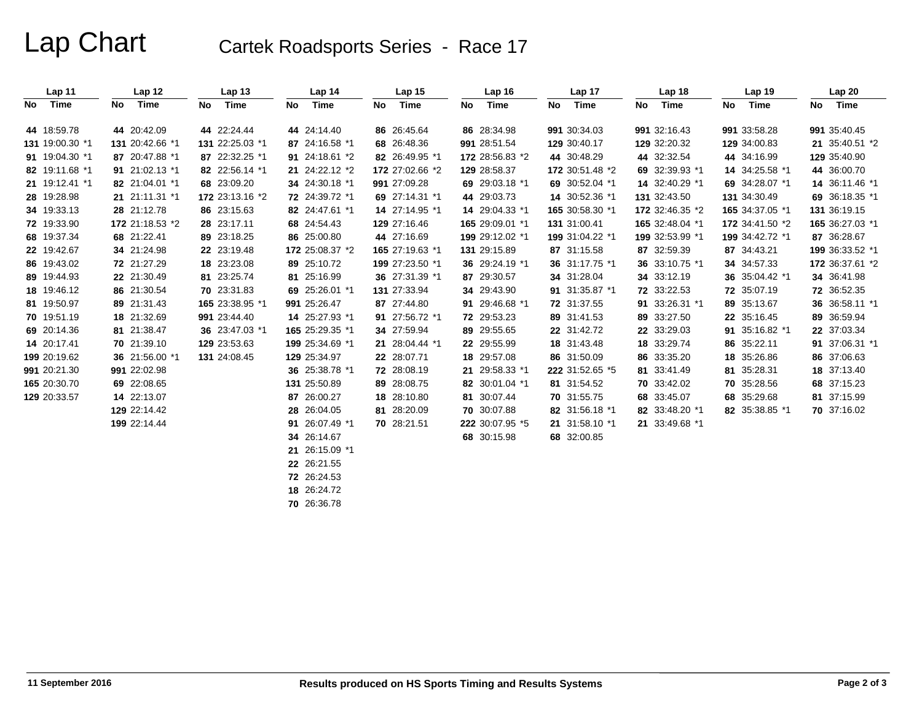# Lap Chart Cartek Roadsports Series - Race 17

| Lap 11          |    | Lap 12          |    | Lap <sub>13</sub> |    | Lap 14          |    | Lap <sub>15</sub> |    | Lap <sub>16</sub> |    | Lap <sub>17</sub> |    | Lap <sub>18</sub> |    | Lap <sub>19</sub> | Lap20           |
|-----------------|----|-----------------|----|-------------------|----|-----------------|----|-------------------|----|-------------------|----|-------------------|----|-------------------|----|-------------------|-----------------|
| No Time         | No | Time            | No | Time              | No | Time            | No | Time              | No | Time              | No | Time              | No | Time              | No | Time              | No Time         |
| 44 18:59.78     |    | 44 20:42.09     |    | 44 22:24.44       |    | 44 24:14.40     |    | 86 26:45.64       |    | 86 28:34.98       |    | 991 30:34.03      |    | 991 32:16.43      |    | 991 33:58.28      | 991 35:40.45    |
| 131 19:00.30 *1 |    | 131 20:42.66 *1 |    | 131 22:25.03 *1   |    | 87 24:16.58 *1  |    | 68 26:48.36       |    | 991 28:51.54      |    | 129 30:40.17      |    | 129 32:20.32      |    | 129 34:00.83      | 21 35:40.51 *2  |
| 91 19:04.30 *1  |    | 87 20:47.88 *1  |    | 87 22:32.25 *1    |    | 91 24:18.61 *2  |    | 82 26:49.95 *1    |    | 172 28:56.83 *2   |    | 44 30:48.29       |    | 44 32:32.54       |    | 44 34:16.99       | 129 35:40.90    |
| 82 19:11.68 *1  |    | 91 21:02.13 *1  |    | 82 22:56.14 *1    |    | 21 24:22.12 *2  |    | 172 27:02.66 *2   |    | 129 28:58.37      |    | 172 30:51.48 *2   |    | 69 32:39.93 *1    |    | 14 34:25.58 *1    | 44 36:00.70     |
| 21 19:12.41 *1  |    | 82 21:04.01 *1  |    | 68 23:09.20       |    | 34 24:30.18 *1  |    | 991 27:09.28      |    | 69 29:03.18 *1    |    | 69 30:52.04 *1    |    | 14 32:40.29 *1    |    | 69 34:28.07 *1    | 14 36:11.46 *1  |
| 28 19:28.98     |    | 21 21:11.31 *1  |    | 172 23:13.16 *2   |    | 72 24:39.72 *1  |    | 69 27:14.31 *1    |    | 44 29:03.73       |    | 14 30:52.36 *1    |    | 131 32:43.50      |    | 131 34:30.49      | 69 36:18.35 *1  |
| 34 19:33.13     |    | 28 21:12.78     |    | 86 23:15.63       |    | 82 24:47.61 *1  |    | 14 27:14.95 *1    |    | 14 29:04.33 *1    |    | 165 30:58.30 *1   |    | 172 32:46.35 *2   |    | 165 34:37.05 *1   | 131 36:19.15    |
| 72 19:33.90     |    | 172 21:18.53 *2 |    | 28 23:17.11       |    | 68 24:54.43     |    | 129 27:16.46      |    | 165 29:09.01 *1   |    | 131 31:00.41      |    | 165 32:48.04 *1   |    | 172 34:41.50 *2   | 165 36:27.03 *1 |
| 68 19:37.34     |    | 68 21:22.41     |    | 89 23:18.25       |    | 86 25:00.80     |    | 44 27:16.69       |    | 199 29:12.02 *1   |    | 199 31:04.22 *1   |    | 199 32:53.99 *1   |    | 199 34:42.72 *1   | 87 36:28.67     |
| 22 19:42.67     |    | 34 21:24.98     |    | 22 23:19.48       |    | 172 25:08.37 *2 |    | 165 27:19.63 *1   |    | 131 29:15.89      |    | 87 31:15.58       |    | 87 32:59.39       |    | 87 34:43.21       | 199 36:33.52 *1 |
| 86 19:43.02     |    | 72 21:27.29     |    | 18 23:23.08       |    | 89 25:10.72     |    | 199 27:23.50 *1   |    | 36 29:24.19 *1    |    | 36 31:17.75 *1    |    | 36 33:10.75 *1    |    | 34 34:57.33       | 172 36:37.61 *2 |
| 89 19:44.93     |    | 22 21:30.49     |    | 81 23:25.74       |    | 81 25:16.99     |    | 36 27:31.39 *1    |    | 87 29:30.57       |    | 34 31:28.04       |    | 34 33:12.19       |    | 36 35:04.42 *1    | 34 36:41.98     |
| 18 19:46.12     |    | 86 21:30.54     |    | 70 23:31.83       |    | 69 25:26.01 *1  |    | 131 27:33.94      |    | 34 29:43.90       |    | 91 31:35.87 *1    |    | 72 33:22.53       |    | 72 35:07.19       | 72 36:52.35     |
| 81 19:50.97     |    | 89 21:31.43     |    | 165 23:38.95 *1   |    | 991 25:26.47    |    | 87 27:44.80       |    | 91 29:46.68 *1    |    | 72 31:37.55       |    | 91 33:26.31 *1    |    | 89 35:13.67       | 36 36:58.11 *1  |
| 70 19:51.19     |    | 18 21:32.69     |    | 991 23:44.40      |    | 14 25:27.93 *1  |    | 91 27:56.72 *1    |    | 72 29:53.23       |    | 89 31:41.53       |    | 89 33:27.50       |    | 22 35:16.45       | 89 36:59.94     |
| 69 20:14.36     |    | 81 21:38.47     |    | 36 23:47.03 *1    |    | 165 25:29.35 *1 |    | 34 27:59.94       |    | 89 29:55.65       |    | 22 31:42.72       |    | 22 33:29.03       |    | 91 35:16.82 *1    | 22 37:03.34     |
| 14 20:17.41     |    | 70 21:39.10     |    | 129 23:53.63      |    | 199 25:34.69 *1 |    | 21 28:04.44 *1    |    | 22 29:55.99       |    | 18 31:43.48       |    | 18 33:29.74       |    | 86 35:22.11       | 91 37:06.31 *1  |
| 199 20:19.62    |    | 36 21:56.00 *1  |    | 131 24:08.45      |    | 129 25:34.97    |    | 22 28:07.71       |    | 18 29:57.08       |    | 86 31:50.09       |    | 86 33:35.20       |    | 18 35:26.86       | 86 37:06.63     |
| 991 20:21.30    |    | 991 22:02.98    |    |                   |    | 36 25:38.78 *1  |    | 72 28:08.19       |    | 21 29:58.33 *1    |    | 222 31:52.65 *5   |    | 81 33:41.49       |    | 81 35:28.31       | 18 37:13.40     |
| 165 20:30.70    |    | 69 22:08.65     |    |                   |    | 131 25:50.89    |    | 89 28:08.75       |    | 82 30:01.04 *1    |    | 81 31:54.52       |    | 70 33:42.02       |    | 70 35:28.56       | 68 37:15.23     |
| 129 20:33.57    |    | 14 22:13.07     |    |                   |    | 87 26:00.27     |    | 18 28:10.80       |    | 81 30:07.44       |    | 70 31:55.75       |    | 68 33:45.07       |    | 68 35:29.68       | 81 37:15.99     |
|                 |    | 129 22:14.42    |    |                   |    | 28 26:04.05     |    | 81 28:20.09       |    | 70 30:07.88       |    | 82 31:56.18 *1    |    | 82 33:48.20 *1    |    | 82 35:38.85 *1    | 70 37:16.02     |
|                 |    | 199 22:14.44    |    |                   |    | 91 26:07.49 *1  |    | 70 28:21.51       |    | 222 30:07.95 *5   |    | 21 31:58.10 *1    |    | 21 33:49.68 *1    |    |                   |                 |
|                 |    |                 |    |                   |    | 34 26:14.67     |    |                   |    | 68 30:15.98       |    | 68 32:00.85       |    |                   |    |                   |                 |
|                 |    |                 |    |                   |    | 21 26:15.09 *1  |    |                   |    |                   |    |                   |    |                   |    |                   |                 |
|                 |    |                 |    |                   |    | 22 26:21.55     |    |                   |    |                   |    |                   |    |                   |    |                   |                 |
|                 |    |                 |    |                   |    | 72 26:24.53     |    |                   |    |                   |    |                   |    |                   |    |                   |                 |
|                 |    |                 |    |                   |    | 18 26:24.72     |    |                   |    |                   |    |                   |    |                   |    |                   |                 |

**70** 26:36.78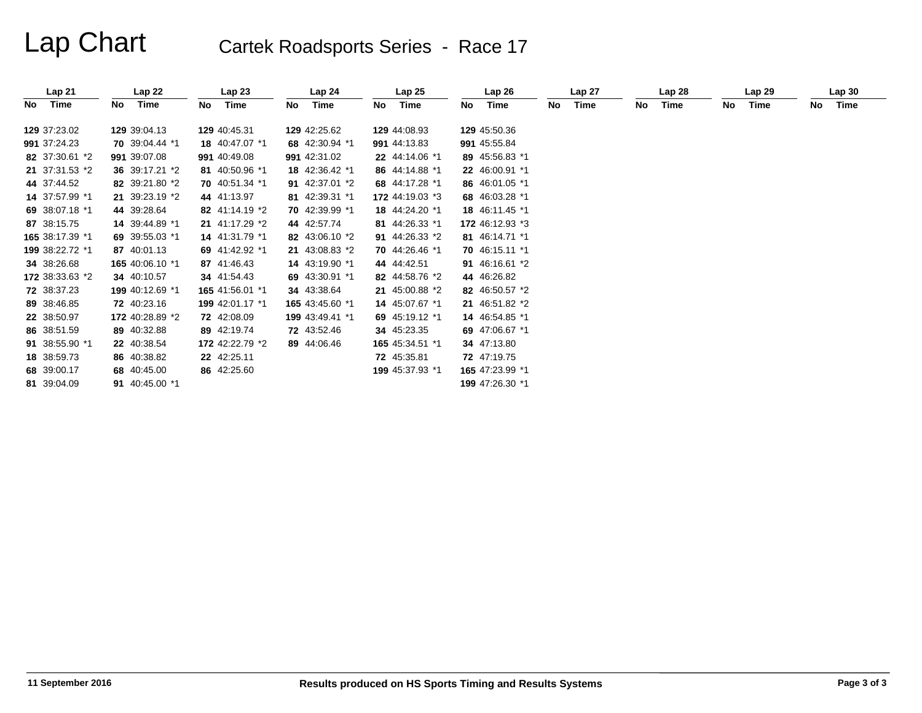# Lap Chart Cartek Roadsports Series - Race 17

|      | Lap21           |    | Lap22           |     | Lap23           |    | Lap <sub>24</sub> |    | Lap25           |    | Lap26           |    | Lap 27 |    | Lap28 |    | Lap29 |    | Lap30 |
|------|-----------------|----|-----------------|-----|-----------------|----|-------------------|----|-----------------|----|-----------------|----|--------|----|-------|----|-------|----|-------|
| No l | Time            | No | Time            | No. | Time            | No | Time              | No | Time            | No | Time            | No | Time   | No | Time  | No | Time  | No | Time  |
|      | 129 37:23.02    |    | 129 39:04.13    |     | 129 40:45.31    |    | 129 42:25.62      |    | 129 44:08.93    |    | 129 45:50.36    |    |        |    |       |    |       |    |       |
|      | 991 37:24.23    |    | 70 39:04.44 *1  |     | 18 40:47.07 *1  |    | 68 42:30.94 *1    |    | 991 44:13.83    |    | 991 45:55.84    |    |        |    |       |    |       |    |       |
|      | 82 37:30.61 *2  |    | 991 39:07.08    |     | 991 40:49.08    |    | 991 42:31.02      |    | 22 44:14.06 *1  |    | 89 45:56.83 *1  |    |        |    |       |    |       |    |       |
|      | 21 37:31.53 *2  |    | 36 39:17.21 *2  |     | 81 40:50.96 *1  |    | 18 42:36.42 *1    |    | 86 44:14.88 *1  |    | 22 46:00.91 *1  |    |        |    |       |    |       |    |       |
|      | 44 37:44.52     |    | 82 39:21.80 *2  |     | 70 40:51.34 *1  |    | 91 42:37.01 *2    |    | 68 44:17.28 *1  |    | 86 46:01.05 *1  |    |        |    |       |    |       |    |       |
|      | 14 37:57.99 *1  |    | 21 39:23.19 *2  |     | 44 41:13.97     |    | 81 42:39.31 *1    |    | 172 44:19.03 *3 |    | 68 46:03.28 *1  |    |        |    |       |    |       |    |       |
|      | 69 38:07.18 *1  |    | 44 39:28.64     |     | 82 41:14.19 *2  |    | 70 42:39.99 *1    |    | 18 44:24.20 *1  |    | 18 46:11.45 *1  |    |        |    |       |    |       |    |       |
|      | 87 38:15.75     |    | 14 39:44.89 *1  |     | 21 41:17.29 *2  |    | 44 42:57.74       |    | 81 44:26.33 *1  |    | 172 46:12.93 *3 |    |        |    |       |    |       |    |       |
|      | 165 38:17.39 *1 |    | 69 39:55.03 *1  |     | 14 41:31.79 *1  |    | 82 43:06.10 *2    |    | 91 44:26.33 *2  |    | 81 46:14.71 *1  |    |        |    |       |    |       |    |       |
|      | 199 38:22.72 *1 |    | 87 40:01.13     |     | 69 41:42.92 *1  |    | 21 43:08.83 *2    |    | 70 44:26.46 *1  |    | 70 46:15.11 *1  |    |        |    |       |    |       |    |       |
|      | 34 38:26.68     |    | 165 40:06.10 *1 |     | 87 41:46.43     |    | 14 43:19.90 *1    |    | 44 44:42.51     |    | 91 46:16.61 *2  |    |        |    |       |    |       |    |       |
|      | 172 38:33.63 *2 |    | 34 40:10.57     |     | 34 41:54.43     |    | 69 43:30.91 *1    |    | 82 44:58.76 *2  |    | 44 46:26.82     |    |        |    |       |    |       |    |       |
|      | 72 38:37.23     |    | 199 40:12.69 *1 |     | 165 41:56.01 *1 |    | 34 43:38.64       |    | 21 45:00.88 *2  |    | 82 46:50.57 *2  |    |        |    |       |    |       |    |       |
|      | 89 38:46.85     |    | 72 40:23.16     |     | 199 42:01.17 *1 |    | 165 43:45.60 *1   |    | 14 45:07.67 *1  |    | 21 46:51.82 *2  |    |        |    |       |    |       |    |       |
|      | 22 38:50.97     |    | 172 40:28.89 *2 |     | 72 42:08.09     |    | 199 43:49.41 *1   |    | 69 45:19.12 *1  |    | 14 46:54.85 *1  |    |        |    |       |    |       |    |       |
|      | 86 38:51.59     |    | 89 40:32.88     |     | 89 42:19.74     |    | 72 43:52.46       |    | 34 45:23.35     |    | 69 47:06.67 *1  |    |        |    |       |    |       |    |       |
|      | 91 38:55.90 *1  |    | 22 40:38.54     |     | 172 42:22.79 *2 |    | 89 44:06.46       |    | 165 45:34.51 *1 |    | 34 47:13.80     |    |        |    |       |    |       |    |       |
|      | 18 38:59.73     |    | 86 40:38.82     |     | 22 42:25.11     |    |                   |    | 72 45:35.81     |    | 72 47:19.75     |    |        |    |       |    |       |    |       |
|      | 68 39:00.17     |    | 68 40:45.00     |     | 86 42:25.60     |    |                   |    | 199 45:37.93 *1 |    | 165 47:23.99 *1 |    |        |    |       |    |       |    |       |
|      | 81 39:04.09     |    | 91 40:45.00 *1  |     |                 |    |                   |    |                 |    | 199 47:26.30 *1 |    |        |    |       |    |       |    |       |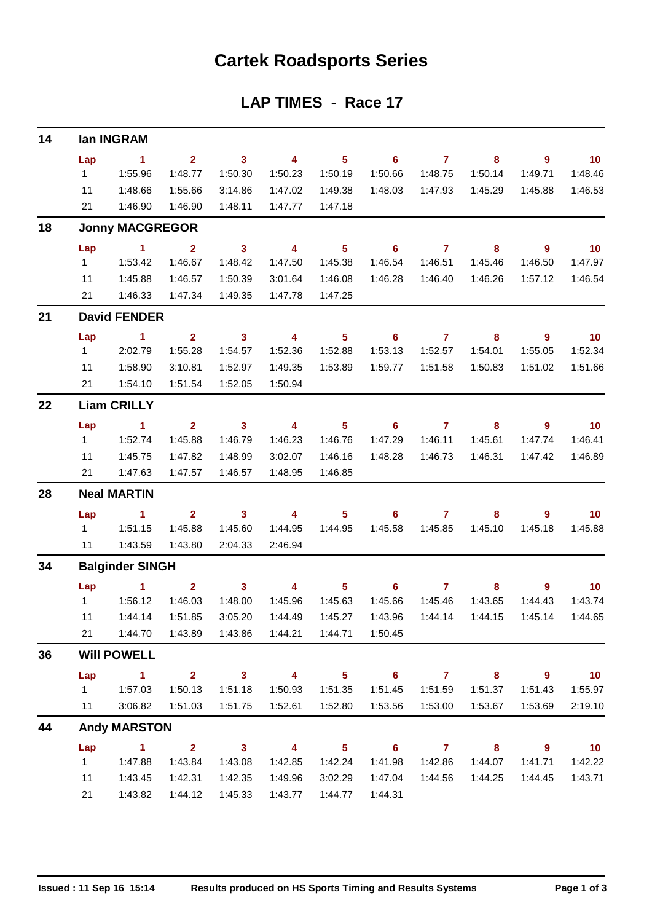## **Cartek Roadsports Series**

### **LAP TIMES - Race 17**

| 14 |                | lan INGRAM             |                               |                         |                         |                            |                            |                     |                         |                          |                             |
|----|----------------|------------------------|-------------------------------|-------------------------|-------------------------|----------------------------|----------------------------|---------------------|-------------------------|--------------------------|-----------------------------|
|    | Lap            | $\sim$ 1               | $2^{\circ}$                   | $\overline{\mathbf{3}}$ | $\overline{4}$          | $5 -$                      | $\overline{\phantom{0}}$ 6 | $\overline{7}$      | 8                       | 9                        | $\overline{10}$             |
|    | $1 \quad$      | 1:55.96                | 1:48.77                       | 1:50.30                 | 1:50.23                 | 1:50.19                    | 1:50.66                    | 1:48.75             | 1:50.14                 | 1:49.71                  | 1:48.46                     |
|    | 11             | 1:48.66                | 1:55.66                       | 3:14.86                 | 1:47.02                 | 1:49.38                    | 1:48.03                    | 1:47.93             | 1:45.29                 | 1:45.88                  | 1:46.53                     |
|    | 21             | 1:46.90                | 1:46.90                       | 1:48.11                 | 1:47.77                 | 1:47.18                    |                            |                     |                         |                          |                             |
| 18 |                | <b>Jonny MACGREGOR</b> |                               |                         |                         |                            |                            |                     |                         |                          |                             |
|    | Lap            | $\sim$ 1 $\sim$ 2      |                               | $\overline{\mathbf{3}}$ | $\overline{\mathbf{4}}$ | $\overline{\phantom{0}}$ 5 | $\overline{\phantom{a}}$ 6 | $\overline{7}$      | $\overline{\mathbf{8}}$ | $\overline{\phantom{a}}$ | $\overline{10}$             |
|    | $1 \quad$      | 1:53.42                | 1:46.67                       | 1:48.42                 | 1:47.50                 | 1:45.38                    | 1:46.54                    | 1:46.51             | 1:45.46                 | 1:46.50                  | 1:47.97                     |
|    | 11             | 1:45.88                | 1:46.57                       | 1:50.39                 | 3:01.64                 | 1:46.08                    | 1:46.28                    | 1:46.40             | 1:46.26                 | 1:57.12                  | 1:46.54                     |
|    | 21             | 1:46.33                | 1:47.34                       | 1:49.35                 | 1:47.78                 | 1:47.25                    |                            |                     |                         |                          |                             |
| 21 |                | <b>David FENDER</b>    |                               |                         |                         |                            |                            |                     |                         |                          |                             |
|    | Lap            | $\sim$ 1               | $\overline{2}$                | $\overline{\mathbf{3}}$ | $\overline{\mathbf{4}}$ | 5 <sub>5</sub>             | $\overline{\phantom{a}}$ 6 | $\overline{7}$      | 8                       | 9 <sup>°</sup>           | $\overline{10}$             |
|    | $1 \quad$      | 2:02.79                | 1:55.28                       | 1:54.57                 | 1:52.36                 | 1:52.88                    | 1:53.13                    | 1:52.57             | 1:54.01                 | 1:55.05                  | 1:52.34                     |
|    | 11             | 1:58.90                | 3:10.81                       | 1:52.97                 | 1:49.35                 | 1:53.89                    | 1:59.77                    | 1:51.58             | 1:50.83                 | 1:51.02                  | 1:51.66                     |
|    | 21             | 1:54.10                | 1:51.54                       | 1:52.05                 | 1:50.94                 |                            |                            |                     |                         |                          |                             |
| 22 |                | <b>Liam CRILLY</b>     |                               |                         |                         |                            |                            |                     |                         |                          |                             |
|    | Lap            | $\sim$ 1               | 2 <sup>7</sup>                | $\overline{\mathbf{3}}$ | $\overline{\mathbf{4}}$ | $\overline{\phantom{0}}$ 5 |                            | $6 \qquad \qquad 7$ | $\overline{\mathbf{8}}$ | $\overline{\phantom{a}}$ | $\overline{\phantom{0}}$ 10 |
|    | $1 \quad$      | 1:52.74                | 1:45.88                       | 1:46.79                 | 1:46.23                 | 1:46.76                    | 1:47.29                    | 1:46.11             | 1:45.61                 | 1:47.74                  | 1:46.41                     |
|    | 11             | 1:45.75                | 1:47.82                       | 1:48.99                 | 3:02.07                 | 1:46.16                    | 1:48.28                    | 1:46.73             | 1:46.31                 | 1:47.42                  | 1:46.89                     |
|    | 21             | 1:47.63                | 1:47.57                       | 1:46.57                 | 1:48.95                 | 1:46.85                    |                            |                     |                         |                          |                             |
| 28 |                | <b>Neal MARTIN</b>     |                               |                         |                         |                            |                            |                     |                         |                          |                             |
|    | Lap            | $\sim$ 1               | $2^{\circ}$                   | $\overline{\mathbf{3}}$ |                         |                            | 4 5 6 7                    |                     | 8                       | 9                        | $\overline{10}$             |
|    | $1 \quad \Box$ | 1:51.15                | 1:45.88                       | 1:45.60                 | 1:44.95                 | 1:44.95                    | 1:45.58                    | 1:45.85             | 1:45.10                 | 1:45.18                  | 1:45.88                     |
|    | 11             | 1:43.59                | 1:43.80                       | 2:04.33                 | 2:46.94                 |                            |                            |                     |                         |                          |                             |
| 34 |                | <b>Balginder SINGH</b> |                               |                         |                         |                            |                            |                     |                         |                          |                             |
|    | Lap            | $\mathbf 1$            | 2 <sub>2</sub>                | $\overline{\mathbf{3}}$ | $\overline{4}$          | 5 <sub>1</sub>             | $\overline{\phantom{0}}$ 6 | $\overline{7}$      | 8                       | 9                        | 10                          |
|    |                | 11.56.12               | 1:46.03                       | 1:48.00                 | 1:45.96                 | 1:45.63                    | 1:45.66                    | 1:45.46             | 1:43.65                 | 1:44.43                  | 1:43.74                     |
|    | 11             | 1:44.14                | 1:51.85                       | 3:05.20                 | 1:44.49                 | 1:45.27                    | 1:43.96                    | 1:44.14             | 1:44.15                 | 1:45.14                  | 1:44.65                     |
|    | 21             | 1:44.70                |                               |                         |                         | 1:44.21  1:44.71           | 1:50.45                    |                     |                         |                          |                             |
| 36 |                | <b>Will POWELL</b>     |                               |                         |                         |                            |                            |                     |                         |                          |                             |
|    | Lap            | $\sim$ $\sim$ 1.       |                               |                         | $2 \t 3 \t 4$           | $\overline{\phantom{1}}$ 5 | $\overline{\phantom{0}}$ 6 |                     | 7 8 9                   |                          | $\overline{10}$             |
|    | $1 \quad$      | 1:57.03                | 1:50.13                       | 1:51.18                 | 1:50.93                 | 1:51.35                    | 1:51.45                    | 1:51.59             | 1:51.37                 | 1:51.43                  | 1:55.97                     |
|    | 11             | 3:06.82                | 1:51.03                       | 1:51.75                 | 1:52.61                 | 1:52.80                    | 1:53.56                    | 1:53.00             | 1:53.67                 | 1:53.69                  | 2:19.10                     |
| 44 |                | <b>Andy MARSTON</b>    |                               |                         |                         |                            |                            |                     |                         |                          |                             |
|    | Lap            |                        | $\overline{1}$ $\overline{2}$ | $\overline{\mathbf{3}}$ | $\overline{4}$          | $\overline{\phantom{1}}$ 5 |                            | $6\qquad 7$         | $\overline{\mathbf{8}}$ | $\overline{\phantom{a}}$ | $\overline{10}$             |
|    | 1              | 1:47.88                | 1:43.84                       | 1:43.08                 | 1:42.85                 | 1:42.24                    | 1:41.98                    | 1:42.86             | 1:44.07                 | 1:41.71                  | 1:42.22                     |
|    | 11             | 1:43.45                | 1:42.31                       | 1:42.35                 | 1:49.96                 | 3:02.29                    | 1:47.04                    | 1:44.56             | 1:44.25                 | 1:44.45                  | 1:43.71                     |
|    | 21             | 1:43.82                | 1:44.12                       | 1:45.33                 | 1:43.77                 | 1:44.77                    | 1:44.31                    |                     |                         |                          |                             |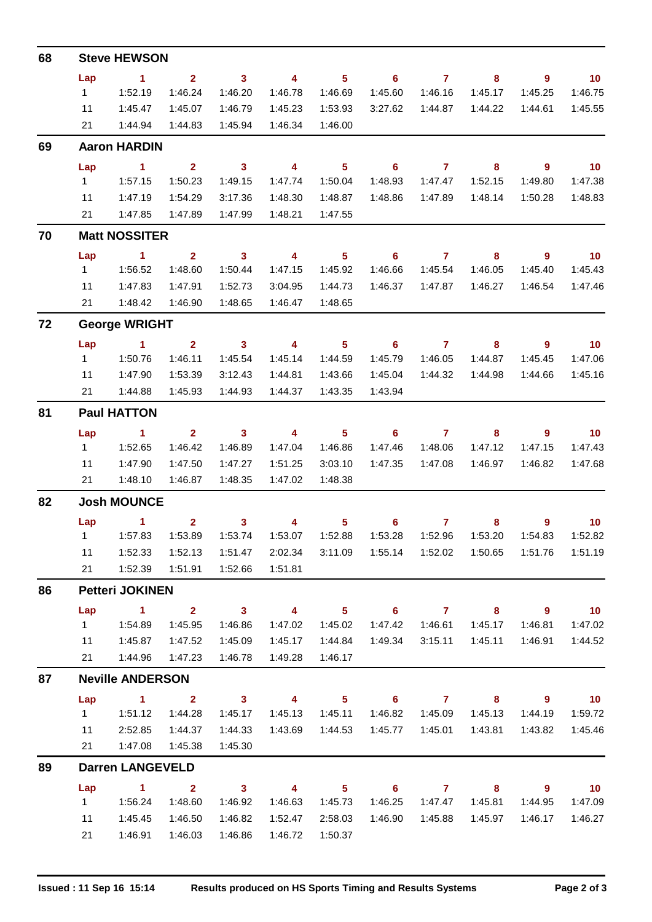| 68 |           | <b>Steve HEWSON</b>                     |                         |                         |                         |                |                            |                |                            |                            |                             |
|----|-----------|-----------------------------------------|-------------------------|-------------------------|-------------------------|----------------|----------------------------|----------------|----------------------------|----------------------------|-----------------------------|
|    | Lap       | $\sim$ 1                                | $2^{\circ}$             | $\overline{\mathbf{3}}$ | $\overline{4}$          | $5 -$          | $\overline{\phantom{0}}$ 6 | $\overline{7}$ | 8                          | $\overline{9}$             | $\overline{10}$             |
|    | $1 \quad$ | 1:52.19                                 | 1:46.24                 | 1:46.20                 | 1:46.78                 | 1:46.69        | 1:45.60                    | 1:46.16        | 1:45.17                    | 1:45.25                    | 1:46.75                     |
|    | 11        | 1:45.47                                 | 1:45.07                 | 1:46.79                 | 1:45.23                 | 1:53.93        | 3:27.62                    | 1:44.87        | 1:44.22                    | 1:44.61                    | 1:45.55                     |
|    | 21        | 1:44.94                                 | 1:44.83                 | 1:45.94                 | 1:46.34                 | 1:46.00        |                            |                |                            |                            |                             |
| 69 |           | <b>Aaron HARDIN</b>                     |                         |                         |                         |                |                            |                |                            |                            |                             |
|    | Lap       | $\sim$ 1                                | $\overline{\mathbf{2}}$ | $\overline{\mathbf{3}}$ | $\overline{\mathbf{4}}$ | 5 <sub>1</sub> | $\overline{\phantom{0}}$ 6 | $\overline{7}$ | $\overline{\phantom{a}}$ 8 | $\overline{\phantom{a}}$ 9 | $\overline{10}$             |
|    | $1 \quad$ | 1:57.15                                 | 1:50.23                 | 1:49.15                 | 1:47.74                 | 1:50.04        | 1:48.93                    | 1:47.47        | 1:52.15                    | 1:49.80                    | 1:47.38                     |
|    | 11        | 1:47.19                                 | 1:54.29                 | 3:17.36                 | 1:48.30                 | 1:48.87        | 1:48.86                    | 1:47.89        | 1:48.14                    | 1:50.28                    | 1:48.83                     |
|    | 21        | 1:47.85                                 | 1:47.89                 | 1:47.99                 | 1:48.21                 | 1:47.55        |                            |                |                            |                            |                             |
| 70 |           | <b>Matt NOSSITER</b>                    |                         |                         |                         |                |                            |                |                            |                            |                             |
|    | Lap       | $\sim$ 1                                | 2 <sup>7</sup>          | $\overline{\mathbf{3}}$ | $\overline{\mathbf{4}}$ | 5 <sup>1</sup> | $6\phantom{1}$             | $\mathbf{7}$   | 8                          | $\overline{9}$             | $\overline{10}$             |
|    | $1 \quad$ | 1:56.52                                 | 1:48.60                 | 1:50.44                 | 1:47.15                 | 1:45.92        | 1:46.66                    | 1:45.54        | 1:46.05                    | 1:45.40                    | 1:45.43                     |
|    | 11        | 1:47.83                                 | 1:47.91                 | 1:52.73                 | 3:04.95                 | 1:44.73        | 1:46.37                    | 1:47.87        | 1:46.27                    | 1:46.54                    | 1:47.46                     |
|    | 21        | 1:48.42                                 | 1:46.90                 | 1:48.65                 | 1:46.47                 | 1:48.65        |                            |                |                            |                            |                             |
| 72 |           | <b>George WRIGHT</b>                    |                         |                         |                         |                |                            |                |                            |                            |                             |
|    | Lap       | <b>Contract Advised Advised Service</b> | $\overline{2}$          | $\overline{\mathbf{3}}$ | $\overline{\mathbf{4}}$ | 5 <sub>1</sub> | $\overline{\phantom{0}}$ 6 | $\overline{7}$ | 8                          | $9^{\circ}$                | 10                          |
|    | 1         | 1:50.76                                 | 1:46.11                 | 1:45.54                 | 1:45.14                 | 1:44.59        | 1:45.79                    | 1:46.05        | 1:44.87                    | 1:45.45                    | 1:47.06                     |
|    | 11        | 1:47.90                                 | 1:53.39                 | 3:12.43                 | 1:44.81                 | 1:43.66        | 1:45.04                    | 1:44.32        | 1:44.98                    | 1:44.66                    | 1:45.16                     |
|    | 21        | 1:44.88                                 | 1:45.93                 | 1:44.93                 | 1:44.37                 | 1:43.35        | 1:43.94                    |                |                            |                            |                             |
| 81 |           | <b>Paul HATTON</b>                      |                         |                         |                         |                |                            |                |                            |                            |                             |
|    | Lap       | $\sim$ 1                                | 2 <sup>1</sup>          | $\overline{\mathbf{3}}$ | $\overline{4}$          | 5 <sub>1</sub> | $\overline{\phantom{a}}$ 6 | $\overline{7}$ | 8                          | $\overline{9}$             | $\overline{\phantom{0}}$ 10 |
|    | $1 \quad$ | 1:52.65                                 | 1:46.42                 | 1:46.89                 | 1:47.04                 | 1:46.86        | 1:47.46                    | 1:48.06        | 1:47.12                    | 1:47.15                    | 1:47.43                     |
|    | 11        | 1:47.90                                 | 1:47.50                 | 1:47.27                 | 1:51.25                 | 3:03.10        | 1:47.35                    | 1:47.08        | 1:46.97                    | 1:46.82                    | 1:47.68                     |
|    |           | 21  1:48.10                             | 1:46.87                 | 1:48.35                 | 1:47.02                 | 1:48.38        |                            |                |                            |                            |                             |
| 82 |           | <b>Josh MOUNCE</b>                      |                         |                         |                         |                |                            |                |                            |                            |                             |
|    |           | Lap 1                                   |                         | $2 \qquad \qquad 3$     |                         |                | 4 5 6 7 8 9 10             |                |                            |                            |                             |
|    |           |                                         |                         | 1:53.74                 |                         |                | 1:53.28                    |                | 1:52.96  1:53.20           | 1:54.83                    | 1:52.82                     |
|    | 11        | 1:52.33                                 | 1:52.13                 | 1:51.47                 | 2:02.34                 |                |                            |                |                            |                            | 1:51.76  1:51.19            |
|    | 21        | 1:52.39                                 | 1:51.91                 | 1:52.66                 | 1:51.81                 |                |                            |                |                            |                            |                             |
| 86 |           | <b>Petteri JOKINEN</b>                  |                         |                         |                         |                |                            |                |                            |                            |                             |
|    | Lap       | $\sim$ 1                                | 2 <sup>7</sup>          | $\overline{\mathbf{3}}$ | $\overline{4}$          | $5 -$          |                            | $6$ $7$ $8$    |                            | - 9                        | $\blacksquare$ 10           |
|    | $1 \quad$ | 1:54.89                                 | 1:45.95                 | 1:46.86                 | 1:47.02                 | 1:45.02        | 1:47.42                    | 1:46.61        | 1:45.17                    | 1:46.81                    | 1:47.02                     |
|    | 11        | 1:45.87                                 | 1:47.52                 | 1:45.09                 | 1:45.17                 | 1:44.84        | 1:49.34                    | 3:15.11        | 1:45.11                    | 1:46.91                    | 1:44.52                     |
|    |           | 21  1:44.96                             | 1:47.23                 | 1:46.78                 | 1:49.28                 | 1:46.17        |                            |                |                            |                            |                             |
| 87 |           | <b>Neville ANDERSON</b>                 |                         |                         |                         |                |                            |                |                            |                            |                             |
|    | Lap       | $\sim$ 1 $\sim$ 2                       |                         | $\overline{\mathbf{3}}$ | $\overline{\mathbf{4}}$ | 5 <sub>1</sub> | $\overline{\phantom{a}}$ 6 | $\overline{7}$ | 8                          | $\overline{\phantom{a}}$ 9 | $\overline{10}$             |
|    | $1 \quad$ | 1:51.12                                 | 1:44.28                 | 1:45.17                 | 1:45.13                 | 1:45.11        | 1:46.82                    | 1:45.09        | 1:45.13                    | 1:44.19                    | 1:59.72                     |
|    | 11        | 2:52.85                                 | 1:44.37                 | 1:44.33                 | 1:43.69                 | 1:44.53        | 1:45.77                    | 1:45.01        | 1:43.81                    | 1:43.82                    | 1:45.46                     |
|    | 21        | 1:47.08                                 | 1:45.38                 | 1:45.30                 |                         |                |                            |                |                            |                            |                             |
| 89 |           | <b>Darren LANGEVELD</b>                 |                         |                         |                         |                |                            |                |                            |                            |                             |
|    | Lap       | $\sim$ 1                                | $\mathbf{2}$            | $\overline{\mathbf{3}}$ | $\overline{\mathbf{4}}$ | $5 -$          |                            | $6\qquad 7$    | 8                          | $9^{\circ}$                | $\overline{10}$             |
|    | $1 \quad$ | 1:56.24                                 | 1:48.60                 | 1:46.92                 | 1:46.63                 | 1:45.73        | 1:46.25                    | 1:47.47        | 1:45.81                    | 1:44.95                    | 1:47.09                     |
|    | 11        | 1:45.45                                 | 1:46.50                 | 1:46.82                 | 1:52.47                 | 2:58.03        | 1:46.90                    | 1:45.88        | 1:45.97                    | 1:46.17                    | 1:46.27                     |
|    | 21        | 1:46.91                                 | 1:46.03                 | 1:46.86                 | 1:46.72                 | 1:50.37        |                            |                |                            |                            |                             |